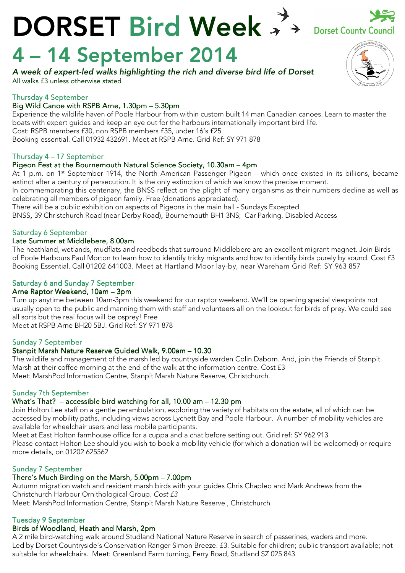## DORSET Bird Week \*\* **Dorset County Council**

# 4 – 14 September 2014

A week of expert-led walks highlighting the rich and diverse bird life of Dorset

All walks £3 unless otherwise stated

## Thursday 4 September 4

## Big Wild Canoe with RSPB Arne, 1.30pm - 5.30pm

Experience the wildlife haven of Poole Harbour from within custom built 14 man Canadian canoes. Learn to master the boats with expert guides and keep an eye out for the harbours internationally important bird life. Cost: RSPB members £30, non RSPB members £35, under 16's £25 Booking essential. Call 01932 432691. Meet at RSPB Arne. Grid Ref: SY 971 878

## Thursday  $4 - 17$  September

## Pigeon Fest at the Bournemouth Natural Science Society, 10.30am – 4pm

At 1 p.m. on 1<sup>st</sup> September 1914, the North American Passenger Pigeon – which once existed in its billions, became extinct after a century of persecution. It is the only extinction of which we know the precise moment.

In commemorating this centenary, the BNSS reflect on the plight of many organisms as their numbers decline as well as celebrating all members of pigeon family. Free (donations appreciated).

There will be a public exhibition on aspects of Pigeons in the main hall - Sundays Excepted.

BNSS, 39 Christchurch Road (near Derby Road), Bournemouth BH1 3NS; Car Parking. Disabled Access

## Saturday 6 September

#### Late Summer at Middlebere, 8.00am

The heathland, wetlands, mudflats and reedbeds that surround Middlebere are an excellent migrant magnet. Join Birds of Poole Harbours Paul Morton to learn how to identify tricky migrants and how to identify birds purely by sound. Cost £3 Booking Essential. Call 01202 641003. Meet at Hartland Moor lay-by, near Wareham Grid Ref: SY 963 857

## Saturday 6 and Sunday 7 September

## Arne Raptor Weekend, 10am - 3pm

Turn up anytime between 10am-3pm this weekend for our raptor weekend. We'll be opening special viewpoints not usually open to the public and manning them with staff and volunteers all on the lookout for birds of prey. We could see all sorts but the real focus will be osprey! Free

Meet at RSPB Arne BH20 5BJ. Grid Ref: SY 971 878

## Sunday 7 September

## Stanpit Marsh Nature Reserve Guided Walk, 9.00am - 10.30

The wildlife and management of the marsh led by countryside warden Colin Daborn. And, join the Friends of Stanpit Marsh at their coffee morning at the end of the walk at the information centre. Cost £3 Meet: MarshPod Information Centre, Stanpit Marsh Nature Reserve, Christchurch

## Sunday 7th September

## What's That? – accessible bird watching for all, 10.00 am – 12.30 pm

Join Holton Lee staff on a gentle perambulation, exploring the variety of habitats on the estate, all of which can be accessed by mobility paths, including views across Lychett Bay and Poole Harbour. A number of mobility vehicles are available for wheelchair users and less mobile participants.

Meet at East Holton farmhouse office for a cuppa and a chat before setting out. Grid ref: SY 962 913 Please contact Holton Lee should you wish to book a mobility vehicle (for which a donation will be welcomed) or require more details, on 01202 625562

## Sunday 7 September

## There's Much Birding on the Marsh, 5.00pm – 7.00pm

Autumn migration watch and resident marsh birds with your guides Chris Chapleo and Mark Andrews from the Christchurch Harbour Ornithological Group. Cost £3 Meet: MarshPod Information Centre, Stanpit Marsh Nature Reserve , Christchurch

## Tuesday 9 September

## Birds of Woodland, Heath and Marsh, 2pm

A 2 mile bird-watching walk around Studland National Nature Reserve in search of passerines, waders and more. Led by Dorset Countryside's Conservation Ranger Simon Breeze. £3. Suitable for children; public transport available; not suitable for wheelchairs. Meet: Greenland Farm turning, Ferry Road, Studland SZ 025 843